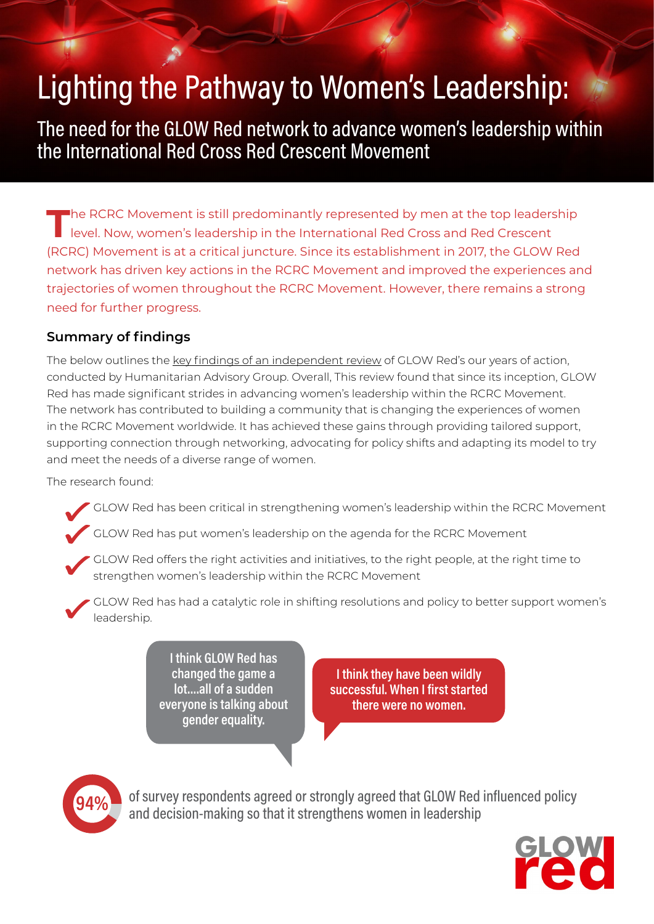# Lighting the Pathway to Women's Leadership:

The need for the GLOW Red network to advance women's leadership within the International Red Cross Red Crescent Movement

**T**he RCRC Movement is still predominantly represented by men at the top leadership level. Now, women's leadership in the International Red Cross and Red Crescent (RCRC) Movement is at a critical juncture. Since its establishment in 2017, the GLOW Red network has driven key actions in the RCRC Movement and improved the experiences and trajectories of women throughout the RCRC Movement. However, there remains a strong need for further progress.

# **Summary of findings**

The below outlines the [key findings of an independent review](https://www.glowred.org/siteassets/reports/glowred_lighting-the-path-to-womens-leadership.pdf) of GLOW Red's our years of action, conducted by Humanitarian Advisory Group. Overall, This review found that since its inception, GLOW Red has made significant strides in advancing women's leadership within the RCRC Movement. The network has contributed to building a community that is changing the experiences of women in the RCRC Movement worldwide. It has achieved these gains through providing tailored support, supporting connection through networking, advocating for policy shifts and adapting its model to try and meet the needs of a diverse range of women.

The research found:

GLOW Red has been critical in strengthening women's leadership within the RCRC Movement

GLOW Red has put women's leadership on the agenda for the RCRC Movement

GLOW Red offers the right activities and initiatives, to the right people, at the right time to strengthen women's leadership within the RCRC Movement

GLOW Red has had a catalytic role in shifting resolutions and policy to better support women's leadership.

> **I think GLOW Red has changed the game a lot….all of a sudden everyone is talking about gender equality.**

**I think they have been wildly successful. When I first started there were no women.**



of survey respondents agreed or strongly agreed that GLOW Red influenced policy and decision-making so that it strengthens women in leadership